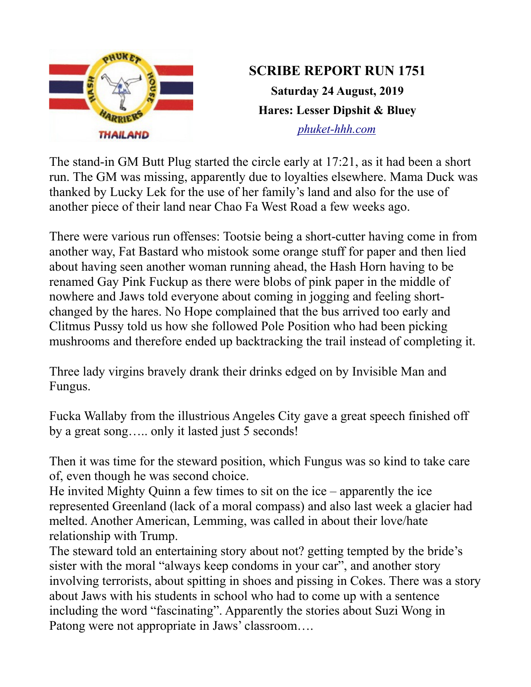

## **SCRIBE REPORT RUN 1751 Saturday 24 August, 2019 Hares: Lesser Dipshit & Bluey** *[phuket-hhh.com](http://phuket-hhh.com/)*

The stand-in GM Butt Plug started the circle early at 17:21, as it had been a short run. The GM was missing, apparently due to loyalties elsewhere. Mama Duck was thanked by Lucky Lek for the use of her family's land and also for the use of another piece of their land near Chao Fa West Road a few weeks ago.

There were various run offenses: Tootsie being a short-cutter having come in from another way, Fat Bastard who mistook some orange stuff for paper and then lied about having seen another woman running ahead, the Hash Horn having to be renamed Gay Pink Fuckup as there were blobs of pink paper in the middle of nowhere and Jaws told everyone about coming in jogging and feeling shortchanged by the hares. No Hope complained that the bus arrived too early and Clitmus Pussy told us how she followed Pole Position who had been picking mushrooms and therefore ended up backtracking the trail instead of completing it.

Three lady virgins bravely drank their drinks edged on by Invisible Man and Fungus.

Fucka Wallaby from the illustrious Angeles City gave a great speech finished off by a great song….. only it lasted just 5 seconds!

Then it was time for the steward position, which Fungus was so kind to take care of, even though he was second choice.

He invited Mighty Quinn a few times to sit on the ice – apparently the ice represented Greenland (lack of a moral compass) and also last week a glacier had melted. Another American, Lemming, was called in about their love/hate relationship with Trump.

The steward told an entertaining story about not? getting tempted by the bride's sister with the moral "always keep condoms in your car", and another story involving terrorists, about spitting in shoes and pissing in Cokes. There was a story about Jaws with his students in school who had to come up with a sentence including the word "fascinating". Apparently the stories about Suzi Wong in Patong were not appropriate in Jaws' classroom….